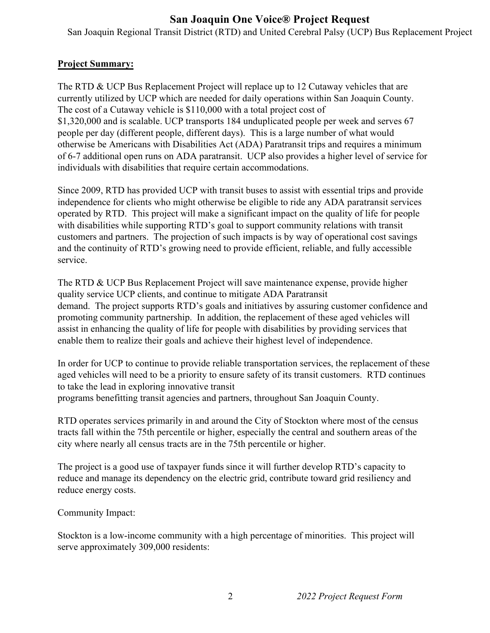## **San Joaquin One Voice® Project Request**

San Joaquin Regional Transit District (RTD) and United Cerebral Palsy (UCP) Bus Replacement Project

## **Project Summary:**

The RTD & UCP Bus Replacement Project will replace up to 12 Cutaway vehicles that are currently utilized by UCP which are needed for daily operations within San Joaquin County. The cost of a Cutaway vehicle is \$110,000 with a total project cost of \$1,320,000 and is scalable. UCP transports 184 unduplicated people per week and serves 67 people per day (different people, different days). This is a large number of what would otherwise be Americans with Disabilities Act (ADA) Paratransit trips and requires a minimum of 6-7 additional open runs on ADA paratransit. UCP also provides a higher level of service for individuals with disabilities that require certain accommodations.

Since 2009, RTD has provided UCP with transit buses to assist with essential trips and provide independence for clients who might otherwise be eligible to ride any ADA paratransit services operated by RTD. This project will make a significant impact on the quality of life for people with disabilities while supporting RTD's goal to support community relations with transit customers and partners. The projection of such impacts is by way of operational cost savings and the continuity of RTD's growing need to provide efficient, reliable, and fully accessible service.

The RTD & UCP Bus Replacement Project will save maintenance expense, provide higher quality service UCP clients, and continue to mitigate ADA Paratransit demand. The project supports RTD's goals and initiatives by assuring customer confidence and promoting community partnership. In addition, the replacement of these aged vehicles will assist in enhancing the quality of life for people with disabilities by providing services that enable them to realize their goals and achieve their highest level of independence.

In order for UCP to continue to provide reliable transportation services, the replacement of these aged vehicles will need to be a priority to ensure safety of its transit customers. RTD continues to take the lead in exploring innovative transit programs benefitting transit agencies and partners, throughout San Joaquin County.

RTD operates services primarily in and around the City of Stockton where most of the census tracts fall within the 75th percentile or higher, especially the central and southern areas of the city where nearly all census tracts are in the 75th percentile or higher.

The project is a good use of taxpayer funds since it will further develop RTD's capacity to reduce and manage its dependency on the electric grid, contribute toward grid resiliency and reduce energy costs.

Community Impact:

Stockton is a low-income community with a high percentage of minorities. This project will serve approximately 309,000 residents: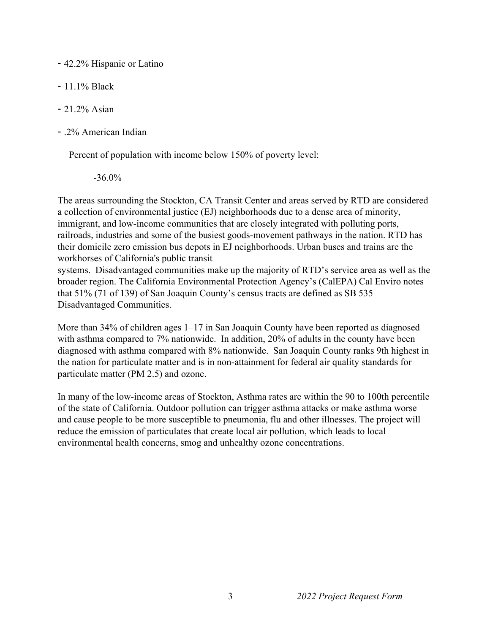- 42.2% Hispanic or Latino
- 11.1% Black
- 21.2% Asian
- .2% American Indian

Percent of population with income below 150% of poverty level:

-36.0%

The areas surrounding the Stockton, CA Transit Center and areas served by RTD are considered a collection of environmental justice (EJ) neighborhoods due to a dense area of minority, immigrant, and low-income communities that are closely integrated with polluting ports, railroads, industries and some of the busiest goods-movement pathways in the nation. RTD has their domicile zero emission bus depots in EJ neighborhoods. Urban buses and trains are the workhorses of California's public transit

systems. Disadvantaged communities make up the majority of RTD's service area as well as the broader region. The California Environmental Protection Agency's (CalEPA) Cal Enviro notes that 51% (71 of 139) of San Joaquin County's census tracts are defined as SB 535 Disadvantaged Communities.

More than 34% of children ages 1–17 in San Joaquin County have been reported as diagnosed with asthma compared to 7% nationwide. In addition, 20% of adults in the county have been diagnosed with asthma compared with 8% nationwide. San Joaquin County ranks 9th highest in the nation for particulate matter and is in non-attainment for federal air quality standards for particulate matter (PM 2.5) and ozone.

In many of the low-income areas of Stockton, Asthma rates are within the 90 to 100th percentile of the state of California. Outdoor pollution can trigger asthma attacks or make asthma worse and cause people to be more susceptible to pneumonia, flu and other illnesses. The project will reduce the emission of particulates that create local air pollution, which leads to local environmental health concerns, smog and unhealthy ozone concentrations.